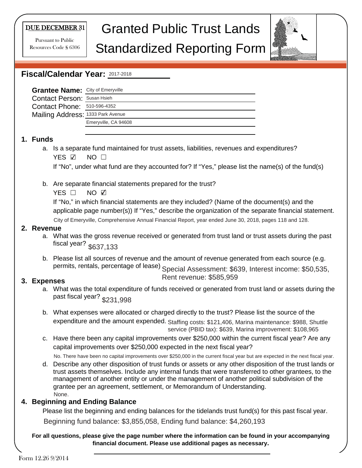#### DUE DECEMBER 31

Pursuant to Public Resources Code § 6306

# Granted Public Trust Lands

# Standardized Reporting Form



## **Fiscal/Calendar Year:**  2017-2018

| <b>Grantee Name:</b> City of Emeryville |                      |
|-----------------------------------------|----------------------|
| <b>Contact Person: Susan Hsieh</b>      |                      |
| Contact Phone: 510-596-4352             |                      |
| Mailing Address: 1333 Park Avenue       |                      |
|                                         | Emeryville, CA 94608 |
|                                         |                      |

#### **1. Funds**

a. Is a separate fund maintained for trust assets, liabilities, revenues and expenditures? YES ☑ NO □

If "No", under what fund are they accounted for? If "Yes," please list the name(s) of the fund(s)

b. Are separate financial statements prepared for the trust?

 $YES$   $\square$ NO ☑

If "No," in which financial statements are they included? (Name of the document(s) and the applicable page number(s)) If "Yes," describe the organization of the separate financial statement. City of Emeryville, Comprehensive Annual Financial Report, year ended June 30, 2018, pages 118 and 128.

**2. Revenue**

- a. What was the gross revenue received or generated from trust land or trust assets during the past fiscal year? \$637,133
- b. Please list all sources of revenue and the amount of revenue generated from each source (e.g. permits, rentals, percentage of lease) Special Assessment: \$639, Interest income: \$50,535,

### **3. Expenses**

a. What was the total expenditure of funds received or generated from trust land or assets during the past fiscal year? \$231,998

Rent revenue: \$585,959

- b. What expenses were allocated or charged directly to the trust? Please list the source of the expenditure and the amount expended. Staffing costs: \$121,406, Marina maintenance: \$988, Shuttle service (PBID tax): \$639, Marina improvement: \$108,965
- c. Have there been any capital improvements over \$250,000 within the current fiscal year? Are any capital improvements over \$250,000 expected in the next fiscal year?

No. There have been no capital improvements over \$250,000 in the current fiscal year but are expected in the next fiscal year.

d. Describe any other disposition of trust funds or assets or any other disposition of the trust lands or trust assets themselves. Include any internal funds that were transferred to other grantees, to the management of another entity or under the management of another political subdivision of the grantee per an agreement, settlement, or Memorandum of Understanding. None.

### **4. Beginning and Ending Balance**

Please list the beginning and ending balances for the tidelands trust fund(s) for this past fiscal year.

Beginning fund balance: \$3,855,058, Ending fund balance: \$4,260,193

**For all questions, please give the page number where the information can be found in your accompanying financial document. Please use additional pages as necessary.**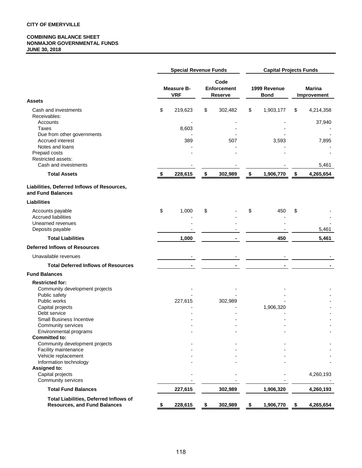#### **COMBINING BALANCE SHEET NONMAJOR GOVERNMENTAL FUNDS JUNE 30, 2018**

|                                                                                      | <b>Special Revenue Funds</b>    |         |    |                                              | <b>Capital Projects Funds</b> |                             |    |                              |  |
|--------------------------------------------------------------------------------------|---------------------------------|---------|----|----------------------------------------------|-------------------------------|-----------------------------|----|------------------------------|--|
|                                                                                      | <b>Measure B-</b><br><b>VRF</b> |         |    | Code<br><b>Enforcement</b><br><b>Reserve</b> |                               | 1999 Revenue<br><b>Bond</b> |    | <b>Marina</b><br>Improvement |  |
| <b>Assets</b><br>Cash and investments                                                | \$                              | 219,623 | \$ | 302,482                                      | \$                            | 1,903,177                   | \$ | 4,214,358                    |  |
| Receivables:                                                                         |                                 |         |    |                                              |                               |                             |    |                              |  |
| Accounts                                                                             |                                 |         |    |                                              |                               |                             |    | 37,940                       |  |
| <b>Taxes</b><br>Due from other governments                                           |                                 | 8,603   |    |                                              |                               |                             |    |                              |  |
| Accrued interest                                                                     |                                 | 389     |    | 507                                          |                               | 3,593                       |    | 7,895                        |  |
| Notes and loans                                                                      |                                 |         |    |                                              |                               |                             |    |                              |  |
| Prepaid costs                                                                        |                                 |         |    |                                              |                               |                             |    |                              |  |
| Restricted assets:<br>Cash and investments                                           |                                 |         |    |                                              |                               |                             |    | 5,461                        |  |
| <b>Total Assets</b>                                                                  | \$                              | 228,615 | \$ | 302,989                                      | \$                            | 1,906,770                   | \$ | 4,265,654                    |  |
|                                                                                      |                                 |         |    |                                              |                               |                             |    |                              |  |
| Liabilities, Deferred Inflows of Resources,<br>and Fund Balances                     |                                 |         |    |                                              |                               |                             |    |                              |  |
| <b>Liabilities</b>                                                                   |                                 |         |    |                                              |                               |                             |    |                              |  |
| Accounts payable                                                                     | \$                              | 1,000   | \$ |                                              | \$                            | 450                         | \$ |                              |  |
| <b>Accrued liabilities</b>                                                           |                                 |         |    |                                              |                               |                             |    |                              |  |
| Unearned revenues<br>Deposits payable                                                |                                 |         |    |                                              |                               |                             |    | 5,461                        |  |
| <b>Total Liabilities</b>                                                             |                                 | 1,000   |    |                                              |                               | 450                         |    | 5,461                        |  |
| <b>Deferred Inflows of Resources</b>                                                 |                                 |         |    |                                              |                               |                             |    |                              |  |
|                                                                                      |                                 |         |    |                                              |                               |                             |    |                              |  |
| Unavailable revenues                                                                 |                                 |         |    |                                              |                               |                             |    |                              |  |
| <b>Total Deferred Inflows of Resources</b>                                           |                                 |         |    |                                              |                               |                             |    |                              |  |
| <b>Fund Balances</b>                                                                 |                                 |         |    |                                              |                               |                             |    |                              |  |
| <b>Restricted for:</b>                                                               |                                 |         |    |                                              |                               |                             |    |                              |  |
| Community development projects<br>Public safety                                      |                                 |         |    |                                              |                               |                             |    |                              |  |
| Public works                                                                         |                                 | 227,615 |    | 302,989                                      |                               |                             |    |                              |  |
| Capital projects                                                                     |                                 |         |    |                                              |                               | 1,906,320                   |    |                              |  |
| Debt service                                                                         |                                 |         |    |                                              |                               |                             |    |                              |  |
| <b>Small Business Incentive</b><br>Community services                                |                                 |         |    |                                              |                               |                             |    |                              |  |
| Environmental programs                                                               |                                 |         |    |                                              |                               |                             |    |                              |  |
| <b>Committed to:</b>                                                                 |                                 |         |    |                                              |                               |                             |    |                              |  |
| Community development projects                                                       |                                 |         |    |                                              |                               |                             |    |                              |  |
| Facility maintenance<br>Vehicle replacement                                          |                                 |         |    |                                              |                               |                             |    |                              |  |
| Information technology                                                               |                                 |         |    |                                              |                               |                             |    |                              |  |
| Assigned to:                                                                         |                                 |         |    |                                              |                               |                             |    |                              |  |
| Capital projects                                                                     |                                 |         |    |                                              |                               |                             |    | 4,260,193                    |  |
| Community services                                                                   |                                 |         |    |                                              |                               |                             |    |                              |  |
| <b>Total Fund Balances</b>                                                           |                                 | 227,615 |    | 302,989                                      |                               | 1,906,320                   |    | 4,260,193                    |  |
| <b>Total Liabilities, Deferred Inflows of</b><br><b>Resources, and Fund Balances</b> |                                 | 228,615 | \$ | 302,989                                      | \$                            | 1,906,770                   | \$ | 4,265,654                    |  |
|                                                                                      |                                 |         |    |                                              |                               |                             |    |                              |  |